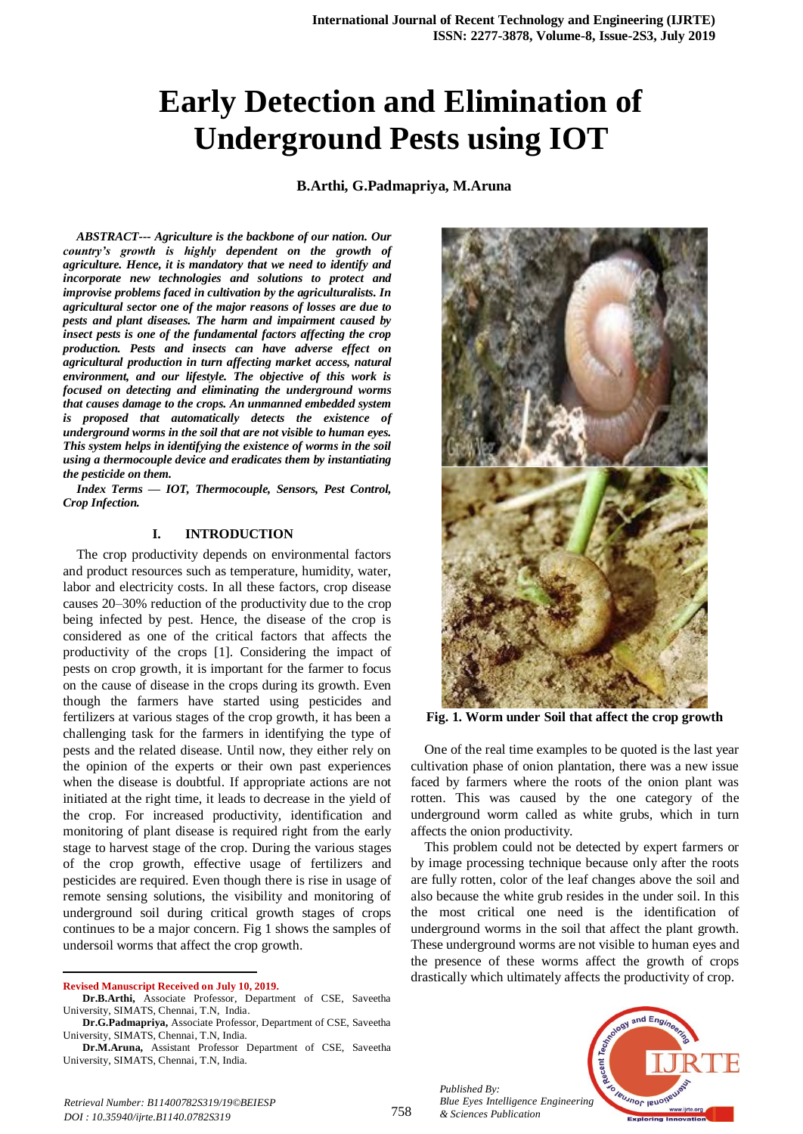# **Early Detection and Elimination of Underground Pests using IOT**

**B.Arthi, G.Padmapriya, M.Aruna**

*ABSTRACT--- Agriculture is the backbone of our nation. Our country's growth is highly dependent on the growth of agriculture. Hence, it is mandatory that we need to identify and incorporate new technologies and solutions to protect and improvise problems faced in cultivation by the agriculturalists. In agricultural sector one of the major reasons of losses are due to pests and plant diseases. The harm and impairment caused by insect pests is one of the fundamental factors affecting the crop production. Pests and insects can have adverse effect on agricultural production in turn affecting market access, natural environment, and our lifestyle. The objective of this work is focused on detecting and eliminating the underground worms that causes damage to the crops. An unmanned embedded system is proposed that automatically detects the existence of underground worms in the soil that are not visible to human eyes. This system helps in identifying the existence of worms in the soil using a thermocouple device and eradicates them by instantiating the pesticide on them.*

*Index Terms — IOT, Thermocouple, Sensors, Pest Control, Crop Infection.*

#### **I. INTRODUCTION**

The crop productivity depends on environmental factors and product resources such as temperature, humidity, water, labor and electricity costs. In all these factors, crop disease causes 20–30% reduction of the productivity due to the crop being infected by pest. Hence, the disease of the crop is considered as one of the critical factors that affects the productivity of the crops [1]. Considering the impact of pests on crop growth, it is important for the farmer to focus on the cause of disease in the crops during its growth. Even though the farmers have started using pesticides and fertilizers at various stages of the crop growth, it has been a challenging task for the farmers in identifying the type of pests and the related disease. Until now, they either rely on the opinion of the experts or their own past experiences when the disease is doubtful. If appropriate actions are not initiated at the right time, it leads to decrease in the yield of the crop. For increased productivity, identification and monitoring of plant disease is required right from the early stage to harvest stage of the crop. During the various stages of the crop growth, effective usage of fertilizers and pesticides are required. Even though there is rise in usage of remote sensing solutions, the visibility and monitoring of underground soil during critical growth stages of crops continues to be a major concern. Fig 1 shows the samples of undersoil worms that affect the crop growth.

 $\overline{a}$ 

**Dr.M.Aruna,** Assistant Professor Department of CSE, Saveetha University, SIMATS, Chennai, T.N, India.



**Fig. 1. Worm under Soil that affect the crop growth**

One of the real time examples to be quoted is the last year cultivation phase of onion plantation, there was a new issue faced by farmers where the roots of the onion plant was rotten. This was caused by the one category of the underground worm called as white grubs, which in turn affects the onion productivity.

This problem could not be detected by expert farmers or by image processing technique because only after the roots are fully rotten, color of the leaf changes above the soil and also because the white grub resides in the under soil. In this the most critical one need is the identification of underground worms in the soil that affect the plant growth. These underground worms are not visible to human eyes and the presence of these worms affect the growth of crops drastically which ultimately affects the productivity of crop.

*Published By: Blue Eyes Intelligence Engineering & Sciences Publication* 



*Retrieval Number: B11400782S319/19©BEIESP DOI : 10.35940/ijrte.B1140.0782S319*

**Revised Manuscript Received on July 10, 2019.**

**Dr.B.Arthi,** Associate Professor, Department of CSE, Saveetha University, SIMATS, Chennai, T.N, India.

**Dr.G.Padmapriya,** Associate Professor, Department of CSE, Saveetha University, SIMATS, Chennai, T.N, India.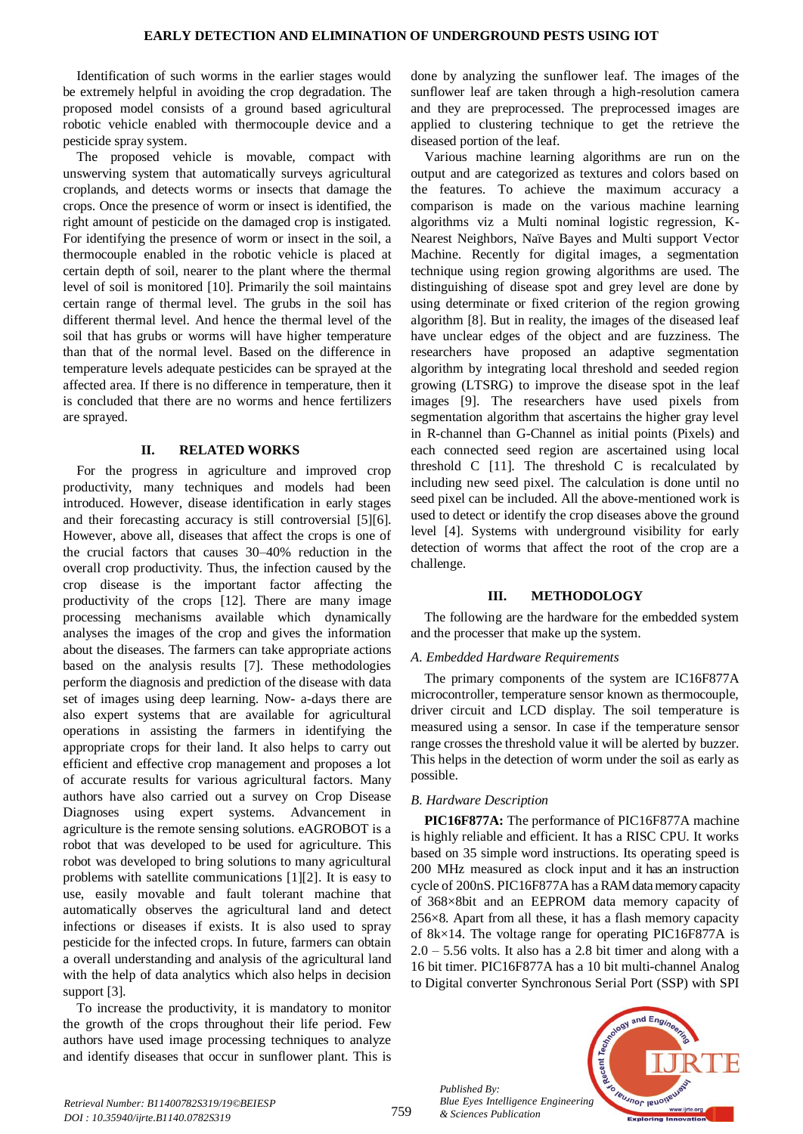Identification of such worms in the earlier stages would be extremely helpful in avoiding the crop degradation. The proposed model consists of a ground based agricultural robotic vehicle enabled with thermocouple device and a pesticide spray system.

The proposed vehicle is movable, compact with unswerving system that automatically surveys agricultural croplands, and detects worms or insects that damage the crops. Once the presence of worm or insect is identified, the right amount of pesticide on the damaged crop is instigated. For identifying the presence of worm or insect in the soil, a thermocouple enabled in the robotic vehicle is placed at certain depth of soil, nearer to the plant where the thermal level of soil is monitored [10]. Primarily the soil maintains certain range of thermal level. The grubs in the soil has different thermal level. And hence the thermal level of the soil that has grubs or worms will have higher temperature than that of the normal level. Based on the difference in temperature levels adequate pesticides can be sprayed at the affected area. If there is no difference in temperature, then it is concluded that there are no worms and hence fertilizers are sprayed.

# **II. RELATED WORKS**

For the progress in agriculture and improved crop productivity, many techniques and models had been introduced. However, disease identification in early stages and their forecasting accuracy is still controversial [5][6]. However, above all, diseases that affect the crops is one of the crucial factors that causes 30–40% reduction in the overall crop productivity. Thus, the infection caused by the crop disease is the important factor affecting the productivity of the crops [12]. There are many image processing mechanisms available which dynamically analyses the images of the crop and gives the information about the diseases. The farmers can take appropriate actions based on the analysis results [7]. These methodologies perform the diagnosis and prediction of the disease with data set of images using deep learning. Now- a-days there are also expert systems that are available for agricultural operations in assisting the farmers in identifying the appropriate crops for their land. It also helps to carry out efficient and effective crop management and proposes a lot of accurate results for various agricultural factors. Many authors have also carried out a survey on Crop Disease Diagnoses using expert systems. Advancement in agriculture is the remote sensing solutions. eAGROBOT is a robot that was developed to be used for agriculture. This robot was developed to bring solutions to many agricultural problems with satellite communications [1][2]. It is easy to use, easily movable and fault tolerant machine that automatically observes the agricultural land and detect infections or diseases if exists. It is also used to spray pesticide for the infected crops. In future, farmers can obtain a overall understanding and analysis of the agricultural land with the help of data analytics which also helps in decision support [3].

To increase the productivity, it is mandatory to monitor the growth of the crops throughout their life period. Few authors have used image processing techniques to analyze and identify diseases that occur in sunflower plant. This is

done by analyzing the sunflower leaf. The images of the sunflower leaf are taken through a high-resolution camera and they are preprocessed. The preprocessed images are applied to clustering technique to get the retrieve the diseased portion of the leaf.

Various machine learning algorithms are run on the output and are categorized as textures and colors based on the features. To achieve the maximum accuracy a comparison is made on the various machine learning algorithms viz a Multi nominal logistic regression, K-Nearest Neighbors, Naïve Bayes and Multi support Vector Machine. Recently for digital images, a segmentation technique using region growing algorithms are used. The distinguishing of disease spot and grey level are done by using determinate or fixed criterion of the region growing algorithm [8]. But in reality, the images of the diseased leaf have unclear edges of the object and are fuzziness. The researchers have proposed an adaptive segmentation algorithm by integrating local threshold and seeded region growing (LTSRG) to improve the disease spot in the leaf images [9]. The researchers have used pixels from segmentation algorithm that ascertains the higher gray level in R-channel than G-Channel as initial points (Pixels) and each connected seed region are ascertained using local threshold  $C$  [11]. The threshold  $C$  is recalculated by including new seed pixel. The calculation is done until no seed pixel can be included. All the above-mentioned work is used to detect or identify the crop diseases above the ground level [4]. Systems with underground visibility for early detection of worms that affect the root of the crop are a challenge.

# **III. METHODOLOGY**

The following are the hardware for the embedded system and the processer that make up the system.

# *A. Embedded Hardware Requirements*

The primary components of the system are IC16F877A microcontroller, temperature sensor known as thermocouple, driver circuit and LCD display. The soil temperature is measured using a sensor. In case if the temperature sensor range crosses the threshold value it will be alerted by buzzer. This helps in the detection of worm under the soil as early as possible.

# *B. Hardware Description*

**PIC16F877A:** The performance of PIC16F877A machine is highly reliable and efficient. It has a RISC CPU. It works based on 35 simple word instructions. Its operating speed is 200 MHz measured as clock input and it has an instruction cycle of 200nS. PIC16F877A has a RAM data memorycapacity of 368×8bit and an EEPROM data memory capacity of 256×8. Apart from all these, it has a flash memory capacity of 8k×14. The voltage range for operating PIC16F877A is  $2.0 - 5.56$  volts. It also has a 2.8 bit timer and along with a 16 bit timer. PIC16F877A has a 10 bit multi-channel Analog to Digital converter Synchronous Serial Port (SSP) with SPI

*Published By: Blue Eyes Intelligence Engineering & Sciences Publication* 

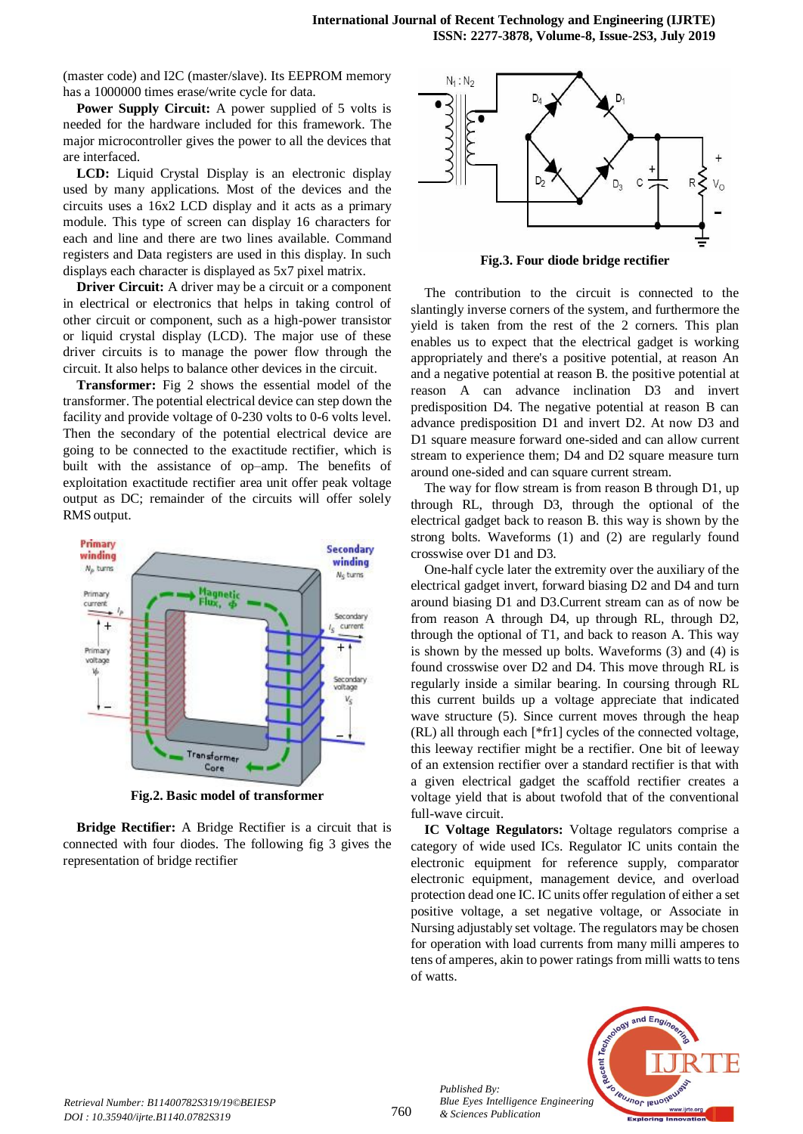(master code) and I2C (master/slave). Its EEPROM memory has a 1000000 times erase/write cycle for data.

**Power Supply Circuit:** A power supplied of 5 volts is needed for the hardware included for this framework. The major microcontroller gives the power to all the devices that are interfaced.

**LCD:** Liquid Crystal Display is an electronic display used by many applications. Most of the devices and the circuits uses a 16x2 LCD display and it acts as a primary module. This type of screen can display 16 characters for each and line and there are two lines available. Command registers and Data registers are used in this display. In such displays each character is displayed as 5x7 pixel matrix.

**Driver Circuit:** A driver may be a circuit or a component in electrical or electronics that helps in taking control of other circuit or component, such as a high-power transistor or liquid crystal display (LCD). The major use of these driver circuits is to manage the power flow through the circuit. It also helps to balance other devices in the circuit.

**Transformer:** Fig 2 shows the essential model of the transformer. The potential electrical device can step down the facility and provide voltage of 0-230 volts to 0-6 volts level. Then the secondary of the potential electrical device are going to be connected to the exactitude rectifier, which is built with the assistance of op–amp. The benefits of exploitation exactitude rectifier area unit offer peak voltage output as DC; remainder of the circuits will offer solely RMS output.



**Fig.2. Basic model of transformer**

**Bridge Rectifier:** A Bridge Rectifier is a circuit that is connected with four diodes. The following fig 3 gives the representation of bridge rectifier



**Fig.3. Four diode bridge rectifier**

The contribution to the circuit is connected to the slantingly inverse corners of the system, and furthermore the yield is taken from the rest of the 2 corners. This plan enables us to expect that the electrical gadget is working appropriately and there's a positive potential, at reason An and a negative potential at reason B. the positive potential at reason A can advance inclination D3 and invert predisposition D4. The negative potential at reason B can advance predisposition D1 and invert D2. At now D3 and D1 square measure forward one-sided and can allow current stream to experience them; D4 and D2 square measure turn around one-sided and can square current stream.

The way for flow stream is from reason B through D1, up through RL, through D3, through the optional of the electrical gadget back to reason B. this way is shown by the strong bolts. Waveforms (1) and (2) are regularly found crosswise over D1 and D3.

One-half cycle later the extremity over the auxiliary of the electrical gadget invert, forward biasing D2 and D4 and turn around biasing D1 and D3.Current stream can as of now be from reason A through D4, up through RL, through D2, through the optional of T1, and back to reason A. This way is shown by the messed up bolts. Waveforms (3) and (4) is found crosswise over D2 and D4. This move through RL is regularly inside a similar bearing. In coursing through RL this current builds up a voltage appreciate that indicated wave structure (5). Since current moves through the heap (RL) all through each [\*fr1] cycles of the connected voltage, this leeway rectifier might be a rectifier. One bit of leeway of an extension rectifier over a standard rectifier is that with a given electrical gadget the scaffold rectifier creates a voltage yield that is about twofold that of the conventional full-wave circuit.

**IC Voltage Regulators:** Voltage regulators comprise a category of wide used ICs. Regulator IC units contain the electronic equipment for reference supply, comparator electronic equipment, management device, and overload protection dead one IC. IC units offer regulation of either a set positive voltage, a set negative voltage, or Associate in Nursing adjustably set voltage. The regulators may be chosen for operation with load currents from many milli amperes to tens of amperes, akin to power ratings from milli watts to tens of watts.



*Published By:*

*& Sciences Publication*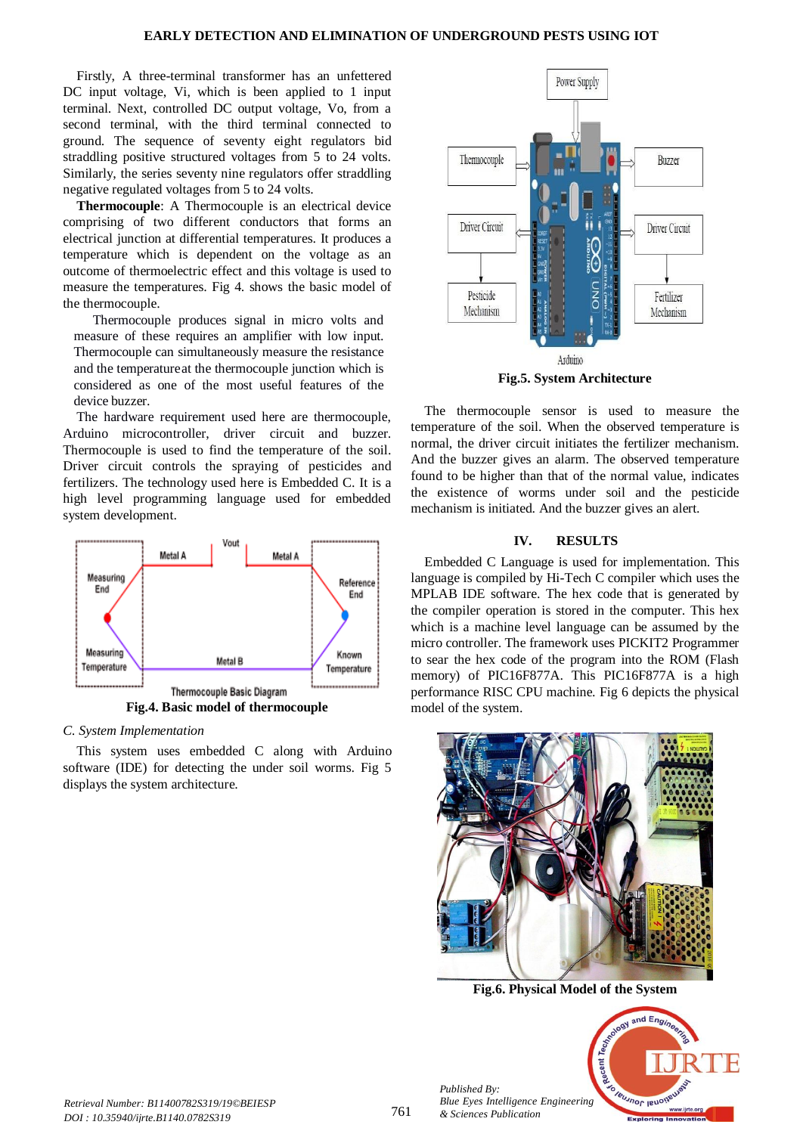#### **EARLY DETECTION AND ELIMINATION OF UNDERGROUND PESTS USING IOT**

Firstly, A three-terminal transformer has an unfettered DC input voltage, Vi, which is been applied to 1 input terminal. Next, controlled DC output voltage, Vo, from a second terminal, with the third terminal connected to ground. The sequence of seventy eight regulators bid straddling positive structured voltages from 5 to 24 volts. Similarly, the series seventy nine regulators offer straddling negative regulated voltages from 5 to 24 volts.

**Thermocouple**: A Thermocouple is an electrical device comprising of two different conductors that forms an electrical junction at differential temperatures. It produces a temperature which is dependent on the voltage as an outcome of thermoelectric effect and this voltage is used to measure the temperatures. Fig 4. shows the basic model of the thermocouple.

Thermocouple produces signal in micro volts and measure of these requires an amplifier with low input. Thermocouple can simultaneously measure the resistance and the temperatureat the thermocouple junction which is considered as one of the most useful features of the device buzzer.

The hardware requirement used here are thermocouple, Arduino microcontroller, driver circuit and buzzer. Thermocouple is used to find the temperature of the soil. Driver circuit controls the spraying of pesticides and fertilizers. The technology used here is Embedded C. It is a high level programming language used for embedded system development.



*C. System Implementation*

This system uses embedded C along with Arduino software (IDE) for detecting the under soil worms. Fig 5 displays the system architecture.



The thermocouple sensor is used to measure the temperature of the soil. When the observed temperature is normal, the driver circuit initiates the fertilizer mechanism. And the buzzer gives an alarm. The observed temperature found to be higher than that of the normal value, indicates the existence of worms under soil and the pesticide mechanism is initiated. And the buzzer gives an alert.

# **IV. RESULTS**

Embedded C Language is used for implementation. This language is compiled by Hi-Tech C compiler which uses the MPLAB IDE software. The hex code that is generated by the compiler operation is stored in the computer. This hex which is a machine level language can be assumed by the micro controller. The framework uses PICKIT2 Programmer to sear the hex code of the program into the ROM (Flash memory) of PIC16F877A. This PIC16F877A is a high performance RISC CPU machine. Fig 6 depicts the physical model of the system.



**Fig.6. Physical Model of the System**



*Published By: Blue Eyes Intelligence Engineering & Sciences Publication*